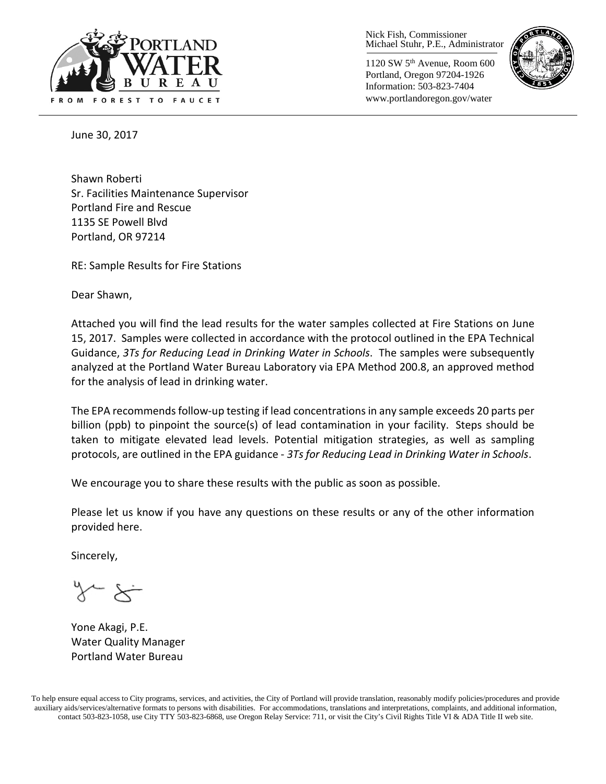

Nick Fish, Commissioner Michael Stuhr, P.E., Administrator

1120 SW 5th Avenue, Room 600 Portland, Oregon 97204-1926 Information: 503-823-7404 www.portlandoregon.gov/water



June 30, 2017

Shawn Roberti Sr. Facilities Maintenance Supervisor Portland Fire and Rescue 1135 SE Powell Blvd Portland, OR 97214

RE: Sample Results for Fire Stations

Dear Shawn,

Attached you will find the lead results for the water samples collected at Fire Stations on June 15, 2017. Samples were collected in accordance with the protocol outlined in the EPA Technical Guidance, *3Ts for Reducing Lead in Drinking Water in Schools*. The samples were subsequently analyzed at the Portland Water Bureau Laboratory via EPA Method 200.8, an approved method for the analysis of lead in drinking water.

The EPA recommends follow-up testing if lead concentrations in any sample exceeds 20 parts per billion (ppb) to pinpoint the source(s) of lead contamination in your facility. Steps should be taken to mitigate elevated lead levels. Potential mitigation strategies, as well as sampling protocols, are outlined in the EPA guidance - *3Ts for Reducing Lead in Drinking Water in Schools*.

We encourage you to share these results with the public as soon as possible.

Please let us know if you have any questions on these results or any of the other information provided here.

Sincerely,

Yone Akagi, P.E. Water Quality Manager Portland Water Bureau

To help ensure equal access to City programs, services, and activities, the City of Portland will provide translation, reasonably modify policies/procedures and provide auxiliary aids/services/alternative formats to persons with disabilities. For accommodations, translations and interpretations, complaints, and additional information, contact 503-823-1058, use City TTY 503-823-6868, use Oregon Relay Service: 711, or visi[t the City's Civil Rights Title VI & ADA Title II web site.](http://www.portlandoregon.gov/oehr/66458)